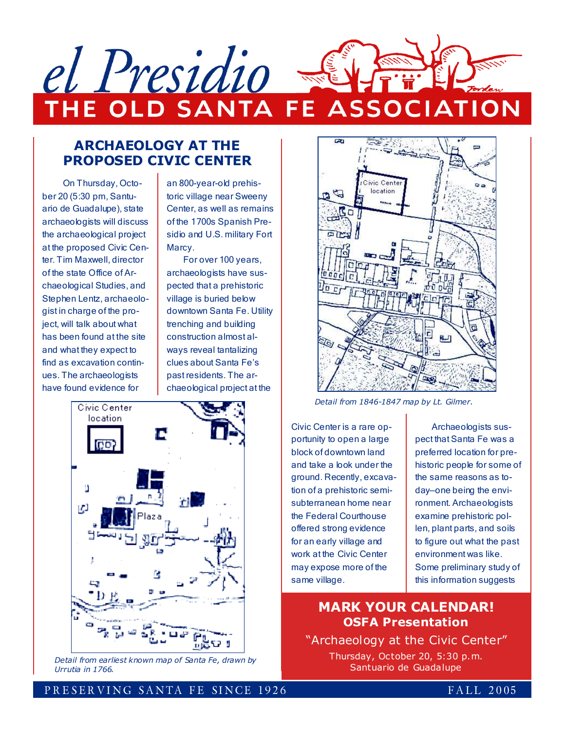

## ARCHAEOLOGY AT THE PROPOSED CIVIC CENTER

On Thursday, October 20 (5:30 pm, Santuario de Guadalupe), state archaeologists will discuss the archaeological project at the proposed Civic Center. Tim Maxwell, director of the state Office of Archaeological Studies, and Stephen Lentz, archaeologist in charge of the project, will talk about what has been found at the site and what they expect to find as excavation continues. The archaeologists have found evidence for

an 800-year-old prehistoric village near Sweeny Center, as well as remains of the 1700s Spanish Presidio and U.S. military Fort Marcy.

For over 100 years, archaeologists have suspected that a prehistoric village is buried below downtown Santa Fe. Utility trenching and building construction almost always reveal tantalizing clues about Santa Fe's past residents. The archaeological project at the



Detail from earliest known map of Santa Fe, drawn by Urrutia in 1766.



Detail from 1846-1847 map by Lt. Gilmer.

Civic Center is a rare opportunity to open a large block of downtown land and take a look under the ground. Recently, excavation of a prehistoric semisubterranean home near the Federal Courthouse offered strong evidence for an early village and work at the Civic Center may expose more of the same village.

Archaeologists suspect that Santa Fe was a preferred location for prehistoric people for some of the same reasons as today—one being the environment. Archaeologists examine prehistoric pollen, plant parts, and soils to figure out what the past environment was like. Some preliminary study of this information suggests

## MARK YOUR CALENDAR! OSFA Presentation

"Archaeology at the Civic Center" Thursday, October 20, 5:30 p.m. Santuario de Guadalupe

### PRESERVING SANTA FE SINCE 1926 **FALL 2005**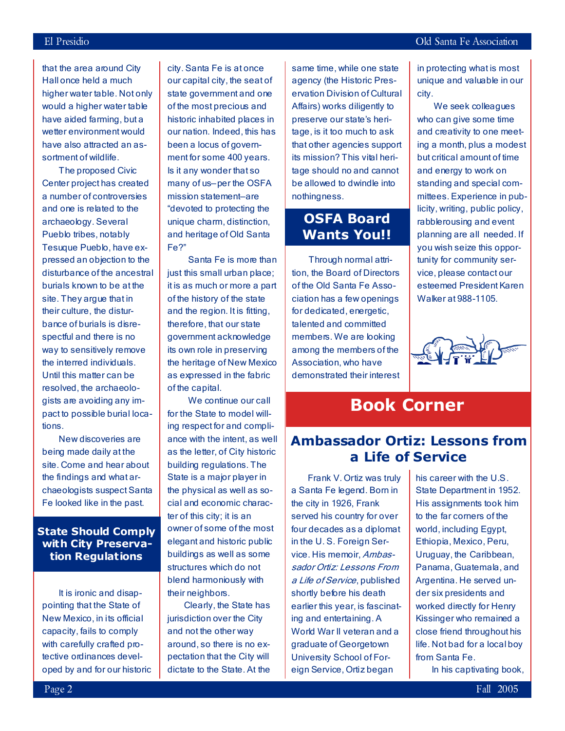that the area around City Hall once held a much higher water table. Not only would a higher water table have aided farming, but a wetter environment would have also attracted an assortment of wildlife.

The proposed Civic Center project has created a number of controversies and one is related to the archaeology. Several Pueblo tribes, notably Tesuque Pueblo, have expressed an objection to the disturbance of the ancestral burials known to be at the site. They argue that in their culture, the disturbance of burials is disrespectful and there is no way to sensitively remove the interred individuals. Until this matter can be resolved, the archaeologists are avoiding any impact to possible burial locations.

New discoveries are being made daily at the site. Come and hear about the findings and what archaeologists suspect Santa Fe looked like in the past.

### State Should Comply with City Preservation Regulations

It is ironic and disappointing that the State of New Mexico, in its official capacity, fails to comply with carefully crafted protective ordinances developed by and for our historic

city. Santa Fe is at once our capital city, the seat of state government and one of the most precious and historic inhabited places in our nation. Indeed, this has been a locus of government for some 400 years. Is it any wonder that so many of us—per the OSFA mission statement—are "devoted to protecting the unique charm, distinction, and heritage of Old Santa Fe?"

Santa Fe is more than just this small urban place; it is as much or more a part of the history of the state and the region. It is fitting, therefore, that our state government acknowledge its own role in preserving the heritage of New Mexico as expressed in the fabric of the capital.

We continue our call for the State to model willing respect for and compliance with the intent, as well as the letter, of City historic building regulations. The State is a major player in the physical as well as social and economic character of this city; it is an owner of some of the most elegant and historic public buildings as well as some structures which do not blend harmoniously with their neighbors.

Clearly, the State has jurisdiction over the City and not the other way around, so there is no expectation that the City will dictate to the State. At the

same time, while one state agency (the Historic Preservation Division of Cultural Affairs) works diligently to preserve our state's heritage, is it too much to ask that other agencies support its mission? This vital heritage should no and cannot be allowed to dwindle into nothingness.

# OSFA Board Wants You!!

Through normal attrition, the Board of Directors of the Old Santa Fe Association has a few openings for dedicated, energetic, talented and committed members. We are looking among the members of the Association, who have demonstrated their interest in protecting what is most unique and valuable in our city.

We seek colleagues who can give some time and creativity to one meeting a month, plus a modest but critical amount of time and energy to work on standing and special committees. Experience in publicity, writing, public policy, rabblerousing and event planning are all needed. If you wish seize this opportunity for community service, please contact our esteemed President Karen Walker at 988-1105.



# Book Corner

# Ambassador Ortiz: Lessons from a Life of Service

Frank V. Ortiz was truly a Santa Fe legend. Born in the city in 1926, Frank served his country for over four decades as a diplomat in the U. S. Foreign Service. His memoir, Ambassador Ortiz: Lessons From a Life of Service, published shortly before his death earlier this year, is fascinating and entertaining. A World War II veteran and a graduate of Georgetown University School of Foreign Service, Ortiz began

his career with the U.S. State Department in 1952. His assignments took him to the far corners of the world, including Egypt, Ethiopia, Mexico, Peru, Uruguay, the Caribbean, Panama, Guatemala, and Argentina. He served under six presidents and worked directly for Henry Kissinger who remained a close friend throughout his life. Not bad for a local boy from Santa Fe.

In his captivating book,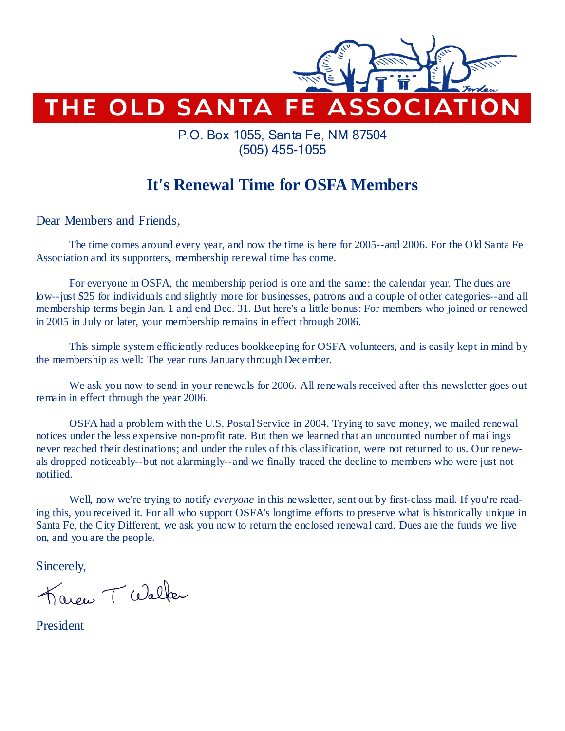

# P.O. Box 1055, Santa Fe, NM 87504 (505) 455-1055

# **It's Renewal Time for OSFA Members**

Dear Members and Friends,

The time comes around every year, and now the time is here for 2005--and 2006. For the Old Santa Fe Association and its supporters, membership renewal time has come.

 For everyone in OSFA, the membership period is one and the same: the calendar year. The dues are low--just \$25 for individuals and slightly more for businesses, patrons and a couple of other categories--and all membership terms begin Jan. 1 and end Dec. 31. But here's a little bonus: For members who joined or renewed in 2005 in July or later, your membership remains in effect through 2006.

 This simple system efficiently reduces bookkeeping for OSFA volunteers, and is easily kept in mind by the membership as well: The year runs January through December.

 We ask you now to send in your renewals for 2006. All renewals received after this newsletter goes out remain in effect through the year 2006.

 OSFA had a problem with the U.S. Postal Service in 2004. Trying to save money, we mailed renewal notices under the less expensive non-profit rate. But then we learned that an uncounted number of mailings never reached their destinations; and under the rules of this classification, were not returned to us. Our renewals dropped noticeably--but not alarmingly--and we finally traced the decline to members who were just not notified.

Well, now we're trying to notify *everyone* in this newsletter, sent out by first-class mail. If you're reading this, you received it. For all who support OSFA's longtime efforts to preserve what is historically unique in Santa Fe, the City Different, we ask you now to return the enclosed renewal card. Dues are the funds we live on, and you are the people.

Sincerely,

Karen T Walker

President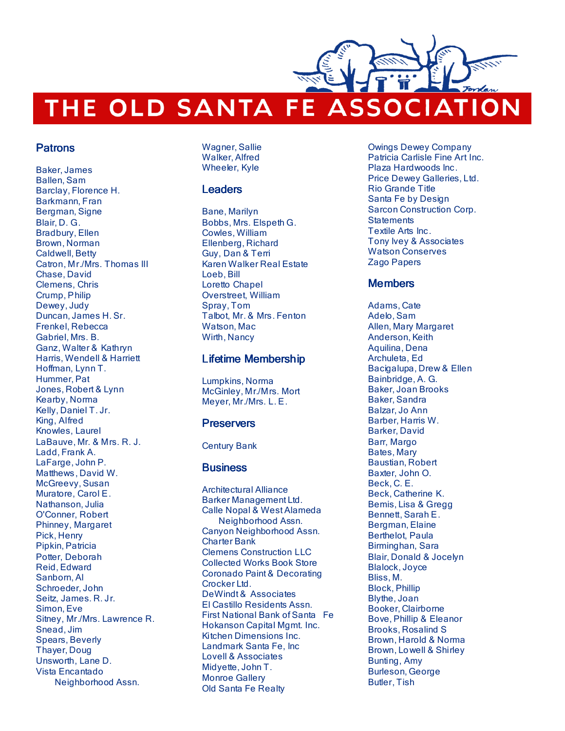# THE OLD SANTA FE ASSOCIATION

#### Patrons

Baker, James Ballen, Sam Barclay, Florence H. Barkmann, Fran Bergman, Signe Blair, D. G. Bradbury, Ellen Brown, Norman Caldwell, Betty Catron, Mr./Mrs. Thomas III Chase, David Clemens, Chris Crump, Philip Dewey, Judy Duncan, James H. Sr. Frenkel, Rebecca Gabriel, Mrs. B. Ganz, Walter & Kathryn Harris, Wendell & Harriett Hoffman, Lynn T. Hummer, Pat Jones, Robert & Lynn Kearby, Norma Kelly, Daniel T. Jr. King, Alfred Knowles, Laurel LaBauve, Mr. & Mrs. R. J. Ladd, Frank A. LaFarge, John P. Matthews, David W. McGreevy, Susan Muratore, Carol E. Nathanson, Julia O'Conner, Robert Phinney, Margaret Pick, Henry Pipkin, Patricia Potter, Deborah Reid, Edward Sanborn, Al Schroeder, John Seitz, James. R. Jr. Simon, Eve Sitney, Mr./Mrs. Lawrence R. Snead, Jim Spears, Beverly Thayer, Doug Unsworth, Lane D. Vista Encantado Neighborhood Assn.

Wagner, Sallie Walker, Alfred Wheeler, Kyle

#### **Leaders**

Bane, Marilyn Bobbs, Mrs. Elspeth G. Cowles, William Ellenberg, Richard Guy, Dan & Terri Karen Walker Real Estate Loeb, Bill Loretto Chapel Overstreet, William Spray, Tom Talbot, Mr. & Mrs. Fenton Watson, Mac Wirth, Nancy

#### Lifetime Membership

Lumpkins, Norma McGinley, Mr./Mrs. Mort Meyer, Mr./Mrs. L. E.

#### **Preservers**

Century Bank

#### **Business**

Architectural Alliance Barker Management Ltd. Calle Nopal & West Alameda Neighborhood Assn. Canyon Neighborhood Assn. Charter Bank Clemens Construction LLC Collected Works Book Store Coronado Paint & Decorating Crocker Ltd. DeWindt & Associates El Castillo Residents Assn. First National Bank of Santa Fe Hokanson Capital Mgmt. Inc. Kitchen Dimensions Inc. Landmark Santa Fe, Inc Lovell & Associates Midyette, John T. Monroe Gallery Old Santa Fe Realty

Owings Dewey Company Patricia Carlisle Fine Art Inc. Plaza Hardwoods Inc. Price Dewey Galleries, Ltd. Rio Grande Title Santa Fe by Design Sarcon Construction Corp. **Statements** Textile Arts Inc. Tony Ivey & Associates Watson Conserves Zago Papers

### **Members**

Adams, Cate Adelo, Sam Allen, Mary Margaret Anderson, Keith Aquilina, Dena Archuleta, Ed Bacigalupa, Drew & Ellen Bainbridge, A. G. Baker, Joan Brooks Baker, Sandra Balzar, Jo Ann Barber, Harris W. Barker, David Barr, Margo Bates, Mary Baustian, Robert Baxter, John O. Beck, C. E. Beck, Catherine K. Bemis, Lisa & Gregg Bennett, Sarah E. Bergman, Elaine Berthelot, Paula Birminghan, Sara Blair, Donald & Jocelyn Blalock, Joyce Bliss, M. Block, Phillip Blythe, Joan Booker, Clairborne Bove, Phillip & Eleanor Brooks, Rosalind S Brown, Harold & Norma Brown, Lo well & Shirley Bunting, Amy Burleson, George Butler, Tish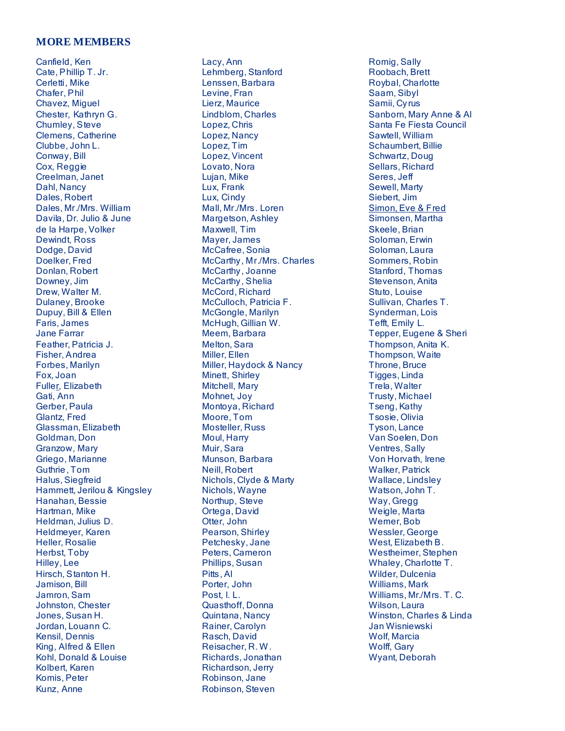#### **MORE MEMBERS**

Canfield, Ken Cate, Phillip T. Jr. Cerletti, Mike Chafer, Phil Chavez, Miguel Chester, Kathryn G. Chumley, Steve Clemens, Catherine Clubbe, John L. Conway, Bill Cox, Reggie Creelman, Janet Dahl, Nancy Dales, Robert Dales, Mr./Mrs. William Davila, Dr. Julio & June de la Harpe, Volker Dewindt, Ross Dodge, David Doelker, Fred Donlan, Robert Downey, Jim Drew, Walter M. Dulaney, Brooke Dupuy, Bill & Ellen Faris, James Jane Farrar Feather, Patricia J. Fisher, Andrea Forbes, Marilyn Fox, Joan Fuller, Elizabeth Gati, Ann Gerber, Paula Glantz, Fred Glassman, Elizabeth Goldman, Don Granzow, Mary Griego, Marianne Guthrie , Tom Halus, Siegfreid Hammett, Jerilou & Kingsley Hanahan, Bessie Hartman, Mike Heldman, Julius D. Heldmeyer, Karen Heller, Rosalie Herbst, Toby Hilley, Lee Hirsch, Stanton H. Jamison, Bill Jamron, Sam Johnston, Chester Jones, Susan H. Jordan, Louann C. Kensil, Dennis King, Alfred & Ellen Kohl, Donald & Louise Kolbert, Karen Komis, Peter Kunz, Anne

Lacy, Ann Lehmberg, Stanford Lenssen, Barbara Levine, Fran Lierz, Maurice Lindblom, Charles Lopez, Chris Lopez, Nancy Lopez, Tim Lopez, Vincent Lovato, Nora Lujan, Mike Lux, Frank Lux, Cindy Mall, Mr./Mrs. Loren Margetson, Ashley Maxwell, Tim Mayer, James McCafree, Sonia McCarthy, Mr./Mrs. Charles McCarthy, Joanne McCarthy, Shelia McCord, Richard McCulloch, Patricia F. McGongle, Marilyn McHugh, Gillian W. Meem, Barbara Melton, Sara Miller, Ellen Miller, Haydock & Nancy Minett, Shirley Mitchell, Mary Mohnet, Joy Montoya, Richard Moore, Tom Mosteller, Russ Moul, Harry Muir, Sara Munson, Barbara Neill, Robert Nichols, Clyde & Marty Nichols, Wayne Northup, Steve Ortega, David Otter, John Pearson, Shirley Petchesky, Jane Peters, Cameron Phillips, Susan Pitts, Al Porter, John Post, I. L. Quasthoff, Donna Quintana, Nancy Rainer, Carolyn Rasch, David Reisacher, R. W . Richards, Jonathan Richardson, Jerry Robinson, Jane Robinson, Steven

Romig, Sally Roobach, Brett Roybal, Charlotte Saam, Sibyl Samii, Cyrus Sanborn, Mary Anne & Al Santa Fe Fiesta Council Sawtell, William Schaumbert, Billie Schwartz, Doug Sellars, Richard Seres, Jeff Sewell, Marty Siebert, Jim Simon, Eve & Fred Simonsen, Martha Skeele, Brian Soloman, Erwin Soloman, Laura Sommers, Robin Stanford, Thomas Stevenson, Anita Stuto, Louise Sullivan, Charles T. Synderman, Lois Tefft, Emily L. Tepper, Eugene & Sheri Thompson, Anita K. Thompson, Waite Throne, Bruce Tigges, Linda Trela, Walter Trusty, Michael Tseng, Kathy Tsosie, Olivia Tyson, Lance Van Soelen, Don Ventres, Sally Von Horvath, Irene Walker, Patrick Wallace, Lindsley Watson, John T. Way, Gregg Weigle, Marta Wemer, Bob Wessler, George West, Elizabeth B. Westheimer, Stephen Whaley, Charlotte T. Wilder, Dulcenia Williams, Mark Williams, Mr./Mrs. T. C. Wilson, Laura Winston, Charles & Linda Jan Wisniewski Wolf, Marcia Wolff, Gary Wyant, Deborah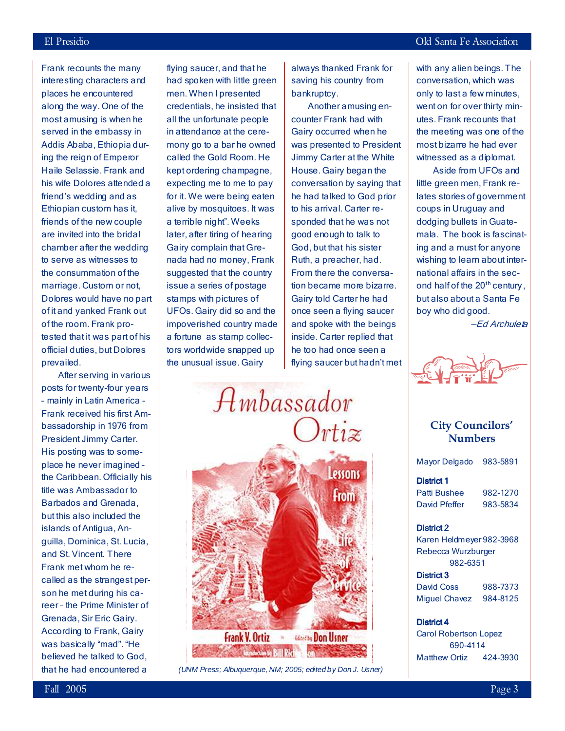Frank recounts the many interesting characters and places he encountered along the way. One of the most amusing is when he served in the embassy in Addis Ababa, Ethiopia during the reign of Emperor Haile Selassie. Frank and his wife Dolores attended a friend's wedding and as Ethiopian custom has it, friends of the new couple are invited into the bridal chamber after the wedding to serve as witnesses to the consummation of the marriage. Custom or not, Dolores would have no part of it and yanked Frank out of the room. Frank protested that it was part of his official duties, but Dolores prevailed.

 After serving in various posts for twenty-four years – mainly in Latin America – Frank received his first Ambassadorship in 1976 from President Jimmy Carter. His posting was to someplace he never imagined – the Caribbean. Officially his title was Ambassador to Barbados and Grenada, but this also included the islands of Antigua, Anguilla, Dominica, St. Lucia, and St. Vincent. There Frank met whom he recalled as the strangest person he met during his career – the Prime Minister of Grenada, Sir Eric Gairy. According to Frank, Gairy was basically "mad". "He believed he talked to God, that he had encountered a

flying saucer, and that he had spoken with little green men. When I presented credentials, he insisted that all the unfortunate people in attendance at the ceremony go to a bar he owned called the Gold Room. He kept ordering champagne, expecting me to me to pay for it. We were being eaten alive by mosquitoes. It was a terrible night". Weeks later, after tiring of hearing Gairy complain that Grenada had no money, Frank suggested that the country issue a series of postage stamps with pictures of UFOs. Gairy did so and the impoverished country made a fortune as stamp collectors worldwide snapped up the unusual issue. Gairy

always thanked Frank for saving his country from bankruptcy.

 Another amusing encounter Frank had with Gairy occurred when he was presented to President Jimmy Carter at the White House. Gairy began the conversation by saying that he had talked to God prior to his arrival. Carter responded that he was not good enough to talk to God, but that his sister Ruth, a preacher, had. From there the conversation became more bizarre. Gairy told Carter he had once seen a flying saucer and spoke with the beings inside. Carter replied that he too had once seen a flying saucer but hadn't met

 $A$ *mbassador*  $rti\tilde{z}$ essons From **Frank V. Ortiz Strategy Don Usner Exception by Bill Rich** 

(UNM Press; Albuquerque, NM; 2005; edited by Don J. Usner)

with any alien beings. The conversation, which was only to last a few minutes, went on for over thirty minutes. Frank recounts that the meeting was one of the most bizarre he had ever witnessed as a diplomat.

 Aside from UFOs and little green men, Frank relates stories of government coups in Uruguay and dodging bullets in Guatemala. The book is fascinating and a must for anyone wishing to learn about international affairs in the second half of the 20<sup>th</sup> century. but also about a Santa Fe boy who did good.

—Ed Archuleta



### City Councilors' Numbers

| Mayor Delgado            | 983-5891 |
|--------------------------|----------|
| <b>District 1</b>        |          |
| Patti Bushee             | 982-1270 |
| David Pfeffer            | 983-5834 |
| <b>District 2</b>        |          |
| Karen Heldmeyer 982-3968 |          |
| Rebecca Wurzburger       |          |

 982-6351 District 3 David Coss 988-7373 Miguel Chavez 984-8125

#### District 4

Carol Robertson Lopez 690-4114 Matthew Ortiz 424-3930